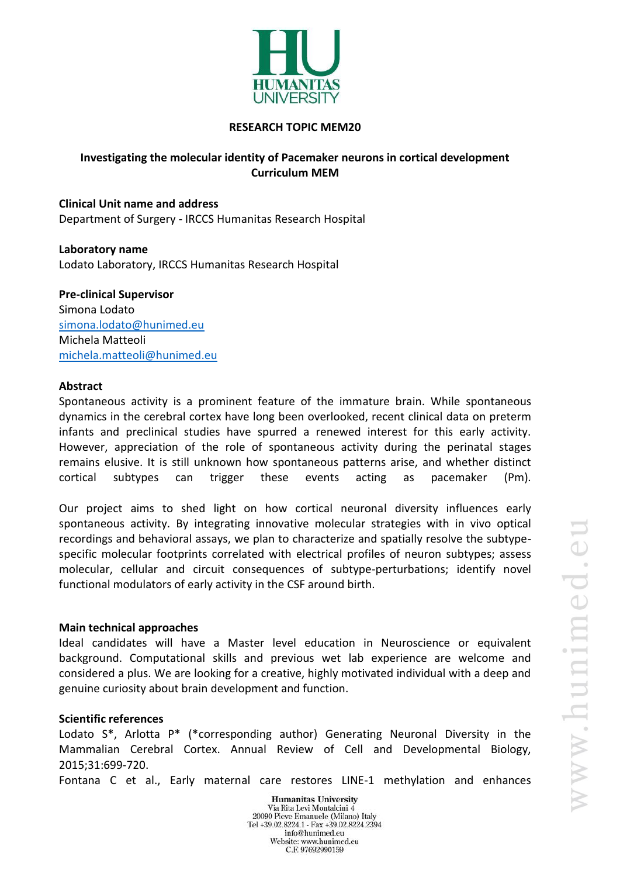

#### **RESEARCH TOPIC MEM20**

# **Investigating the molecular identity of Pacemaker neurons in cortical development Curriculum MEM**

**Clinical Unit name and address** Department of Surgery - IRCCS Humanitas Research Hospital

**Laboratory name** Lodato Laboratory, IRCCS Humanitas Research Hospital

**Pre-clinical Supervisor** Simona Lodato [simona.lodato@hunimed.eu](mailto:simona.lodato@hunimed.eu) Michela Matteoli [michela.matteoli@hunimed.eu](mailto:michela.matteoli@hunimed.eu)

#### **Abstract**

Spontaneous activity is a prominent feature of the immature brain. While spontaneous dynamics in the cerebral cortex have long been overlooked, recent clinical data on preterm infants and preclinical studies have spurred a renewed interest for this early activity. However, appreciation of the role of spontaneous activity during the perinatal stages remains elusive. It is still unknown how spontaneous patterns arise, and whether distinct cortical subtypes can trigger these events acting as pacemaker (Pm).

Our project aims to shed light on how cortical neuronal diversity influences early spontaneous activity. By integrating innovative molecular strategies with in vivo optical recordings and behavioral assays, we plan to characterize and spatially resolve the subtypespecific molecular footprints correlated with electrical profiles of neuron subtypes; assess molecular, cellular and circuit consequences of subtype-perturbations; identify novel functional modulators of early activity in the CSF around birth.

## **Main technical approaches**

Ideal candidates will have a Master level education in Neuroscience or equivalent background. Computational skills and previous wet lab experience are welcome and considered a plus. We are looking for a creative, highly motivated individual with a deep and genuine curiosity about brain development and function.

## **Scientific references**

Lodato S\*, Arlotta P\* (\*corresponding author) Generating Neuronal Diversity in the Mammalian Cerebral Cortex. Annual Review of Cell and Developmental Biology, 2015;31:699-720.

Fontana C et al., Early maternal care restores LINE-1 methylation and enhances

**Humanitas University** Via Rita Levi Montalcini 4 20090 Pieve Emanuele (Milano) Italy Tel +39.02.8224.1 - Fax +39.02.8224.2394 info@hunimed.eu Website: www.hunimed.eu C.F. 97692990159